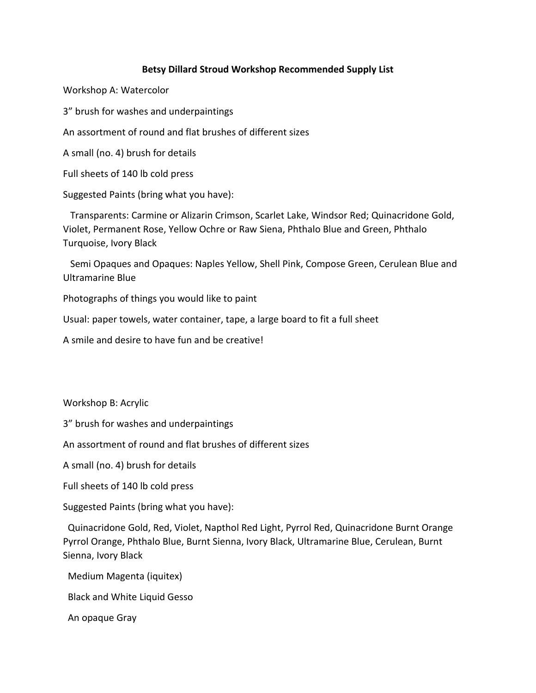## **Betsy Dillard Stroud Workshop Recommended Supply List**

Workshop A: Watercolor

3" brush for washes and underpaintings

An assortment of round and flat brushes of different sizes

A small (no. 4) brush for details

Full sheets of 140 lb cold press

Suggested Paints (bring what you have):

 Transparents: Carmine or Alizarin Crimson, Scarlet Lake, Windsor Red; Quinacridone Gold, Violet, Permanent Rose, Yellow Ochre or Raw Siena, Phthalo Blue and Green, Phthalo Turquoise, Ivory Black

 Semi Opaques and Opaques: Naples Yellow, Shell Pink, Compose Green, Cerulean Blue and Ultramarine Blue

Photographs of things you would like to paint

Usual: paper towels, water container, tape, a large board to fit a full sheet

A smile and desire to have fun and be creative!

Workshop B: Acrylic

3" brush for washes and underpaintings

An assortment of round and flat brushes of different sizes

A small (no. 4) brush for details

Full sheets of 140 lb cold press

Suggested Paints (bring what you have):

 Quinacridone Gold, Red, Violet, Napthol Red Light, Pyrrol Red, Quinacridone Burnt Orange Pyrrol Orange, Phthalo Blue, Burnt Sienna, Ivory Black, Ultramarine Blue, Cerulean, Burnt Sienna, Ivory Black

Medium Magenta (iquitex)

Black and White Liquid Gesso

An opaque Gray